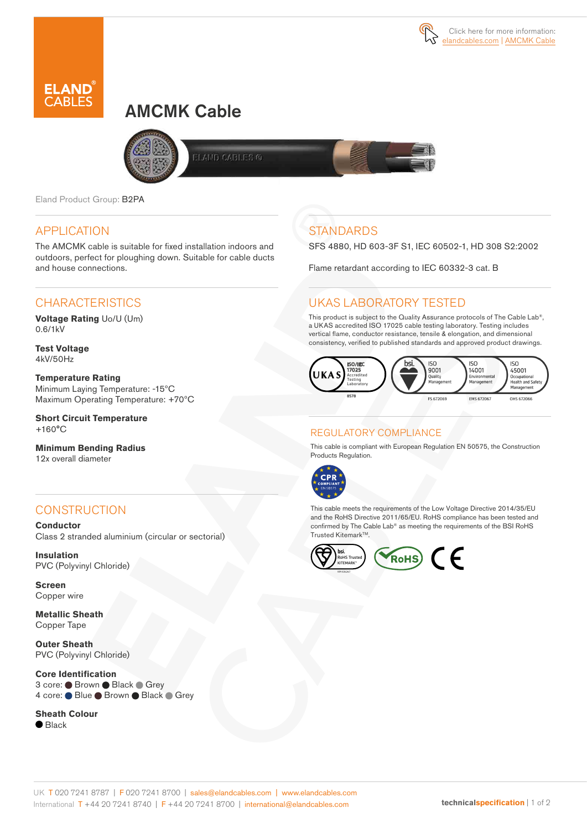

# AMCMK Cable



**ELAND CABLES ®** 

Eland Product Group: B2PA

### APPLICATION

The AMCMK cable is suitable for fixed installation indoors and outdoors, perfect for ploughing down. Suitable for cable ducts and house connections.

### **CHARACTERISTICS**

**Voltage Rating** Uo/U (Um) 0.6/1kV

**Test Voltage** 4kV/50Hz

**Temperature Rating** Minimum Laying Temperature: -15ºC Maximum Operating Temperature: +70ºC

**Short Circuit Temperature** +160°C

**Minimum Bending Radius**  12x overall diameter

### **CONSTRUCTION**

**Conductor** Class 2 stranded aluminium (circular or sectorial)

**Insulation** PVC (Polyvinyl Chloride)

**Screen** Copper wire

**Metallic Sheath**  Copper Tape

**Outer Sheath** PVC (Polyvinyl Chloride)

**Core Identification** 3 core: ● Brown ● Black ● Grey 4 core: Blue Brown Black Grey

**Sheath Colour**  $\bullet$  Black

## **STANDARDS**

SFS 4880, HD 603-3F S1, IEC 60502-1, HD 308 S2:2002

Flame retardant according to IEC 60332-3 cat. B

### UKAS LABORATORY TESTED

This product is subject to the Quality Assurance protocols of The Cable Lab®, a UKAS accredited ISO 17025 cable testing laboratory. Testing includes vertical flame, conductor resistance, tensile & elongation, and dimensional consistency, verified to published standards and approved product drawings.



#### REGULATORY COMPLIANCE

This cable is compliant with European Regulation EN 50575, the Construction Products Regulation.



This cable meets the requirements of the Low Voltage Directive 2014/35/EU and the RoHS Directive 2011/65/EU. RoHS compliance has been tested and confirmed by The Cable Lab® as meeting the requirements of the BSI RoHS Trusted Kitemark™.